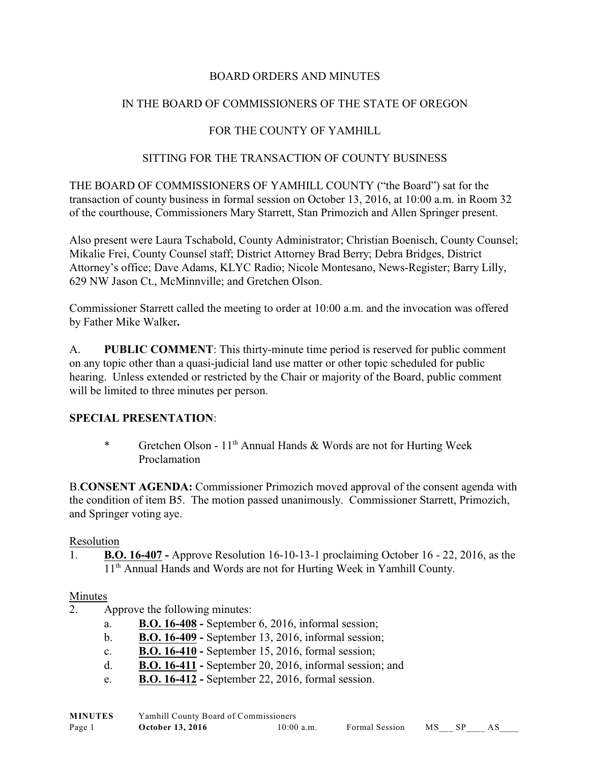## BOARD ORDERS AND MINUTES

## IN THE BOARD OF COMMISSIONERS OF THE STATE OF OREGON

## FOR THE COUNTY OF YAMHILL

#### SITTING FOR THE TRANSACTION OF COUNTY BUSINESS

THE BOARD OF COMMISSIONERS OF YAMHILL COUNTY ("the Board") sat for the transaction of county business in formal session on October 13, 2016, at 10:00 a.m. in Room 32 of the courthouse, Commissioners Mary Starrett, Stan Primozich and Allen Springer present.

Also present were Laura Tschabold, County Administrator; Christian Boenisch, County Counsel; Mikalie Frei, County Counsel staff; District Attorney Brad Berry; Debra Bridges, District Attorney's office; Dave Adams, KLYC Radio; Nicole Montesano, News-Register; Barry Lilly, 629 NW Jason Ct., McMinnville; and Gretchen Olson.

Commissioner Starrett called the meeting to order at 10:00 a.m. and the invocation was offered by Father Mike Walker**.**

A. **PUBLIC COMMENT**: This thirty-minute time period is reserved for public comment on any topic other than a quasi-judicial land use matter or other topic scheduled for public hearing. Unless extended or restricted by the Chair or majority of the Board, public comment will be limited to three minutes per person.

#### **SPECIAL PRESENTATION**:

\* Gretchen Olson -  $11<sup>th</sup>$  Annual Hands & Words are not for Hurting Week Proclamation

B.**CONSENT AGENDA:** Commissioner Primozich moved approval of the consent agenda with the condition of item B5. The motion passed unanimously. Commissioner Starrett, Primozich, and Springer voting aye.

#### Resolution

1. **B.O. 16-407 -** Approve Resolution 16-10-13-1 proclaiming October 16 - 22, 2016, as the 11<sup>th</sup> Annual Hands and Words are not for Hurting Week in Yamhill County.

#### Minutes

- 2. Approve the following minutes:
	- a. **B.O. 16-408** September 6, 2016, informal session;
	- b. **B.O. 16-409** September 13, 2016, informal session;
	- c. **B.O. 16-410** September 15, 2016, formal session;
	- d. **B.O. 16-411** September 20, 2016, informal session; and
	- e. **B.O. 16-412** September 22, 2016, formal session.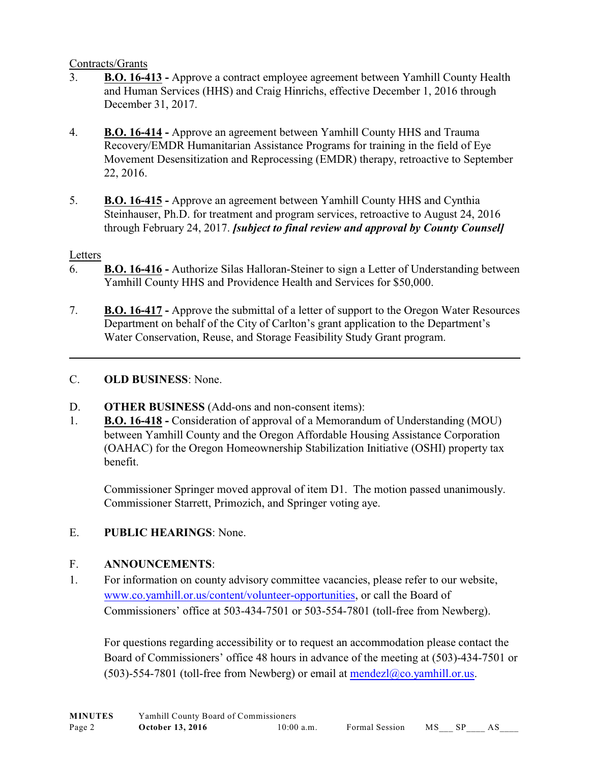#### Contracts/Grants

- 3. **B.O. 16-413** Approve a contract employee agreement between Yamhill County Health and Human Services (HHS) and Craig Hinrichs, effective December 1, 2016 through December 31, 2017.
- 4. **B.O. 16-414** Approve an agreement between Yamhill County HHS and Trauma Recovery/EMDR Humanitarian Assistance Programs for training in the field of Eye Movement Desensitization and Reprocessing (EMDR) therapy, retroactive to September 22, 2016.
- 5. **B.O. 16-415** Approve an agreement between Yamhill County HHS and Cynthia Steinhauser, Ph.D. for treatment and program services, retroactive to August 24, 2016 through February 24, 2017. *[subject to final review and approval by County Counsel]*

## Letters

- 6. **B.O. 16-416** Authorize Silas Halloran-Steiner to sign a Letter of Understanding between Yamhill County HHS and Providence Health and Services for \$50,000.
- 7. **B.O. 16-417** Approve the submittal of a letter of support to the Oregon Water Resources Department on behalf of the City of Carlton's grant application to the Department's Water Conservation, Reuse, and Storage Feasibility Study Grant program.

## C. **OLD BUSINESS**: None.

- D. **OTHER BUSINESS** (Add-ons and non-consent items):
- 1. **B.O. 16-418** Consideration of approval of a Memorandum of Understanding (MOU) between Yamhill County and the Oregon Affordable Housing Assistance Corporation (OAHAC) for the Oregon Homeownership Stabilization Initiative (OSHI) property tax benefit.

Commissioner Springer moved approval of item D1. The motion passed unanimously. Commissioner Starrett, Primozich, and Springer voting aye.

# E. **PUBLIC HEARINGS**: None.

# F. **ANNOUNCEMENTS**:

1. For information on county advisory committee vacancies, please refer to our website, [www.co.yamhill.or.us/content/volunteer-opportunities](http://www.co.yamhill.or.us/content/volunteer-opportunities), or call the Board of Commissioners' office at 503-434-7501 or 503-554-7801 (toll-free from Newberg).

For questions regarding accessibility or to request an accommodation please contact the Board of Commissioners' office 48 hours in advance of the meeting at (503)-434-7501 or (503)-554-7801 (toll-free from Newberg) or email at  $\overline{\text{mendezl}(\partial_{\mathcal{L}}\text{co.yamhill}$ .or.us.